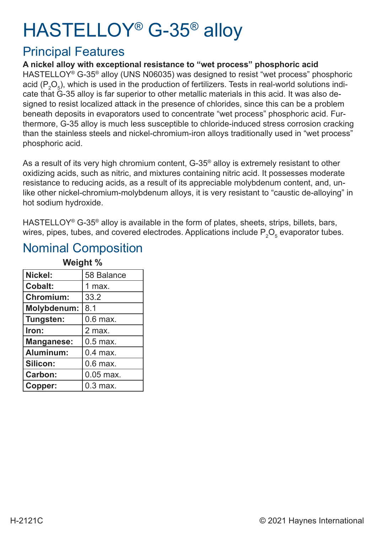# HASTELLOY® G-35® alloy

### Principal Features

**A nickel alloy with exceptional resistance to "wet process" phosphoric acid** HASTELLOY® G-35® alloy (UNS N06035) was designed to resist "wet process" phosphoric acid (P $_{\rm 2}$ O $_{\rm 5}$ ), which is used in the production of fertilizers. Tests in real-world solutions indicate that G-35 alloy is far superior to other metallic materials in this acid. It was also designed to resist localized attack in the presence of chlorides, since this can be a problem beneath deposits in evaporators used to concentrate "wet process" phosphoric acid. Furthermore, G-35 alloy is much less susceptible to chloride-induced stress corrosion cracking than the stainless steels and nickel-chromium-iron alloys traditionally used in "wet process" phosphoric acid.

As a result of its very high chromium content, G-35® alloy is extremely resistant to other oxidizing acids, such as nitric, and mixtures containing nitric acid. It possesses moderate resistance to reducing acids, as a result of its appreciable molybdenum content, and, unlike other nickel-chromium-molybdenum alloys, it is very resistant to "caustic de-alloying" in hot sodium hydroxide.

HASTELLOY® G-35® alloy is available in the form of plates, sheets, strips, billets, bars, wires, pipes, tubes, and covered electrodes. Applications include  $\mathsf{P}_2\mathsf{O}_5$  evaporator tubes.

|                    | <b>Weight</b> % |
|--------------------|-----------------|
| Nickel:            | 58 Balance      |
| <b>Cobalt:</b>     | 1 max.          |
| <b>Chromium:</b>   | 33.2            |
| <b>Molybdenum:</b> | 8.1             |
| Tungsten:          | $0.6$ max.      |
| Iron:              | 2 max.          |
| <b>Manganese:</b>  | $0.5$ max.      |
| Aluminum:          | $0.4$ max.      |
| Silicon:           | $0.6$ max.      |
| <b>Carbon:</b>     | $0.05$ max.     |
| Copper:            | $0.3$ max.      |

#### Nominal Composition **Weight & Weight**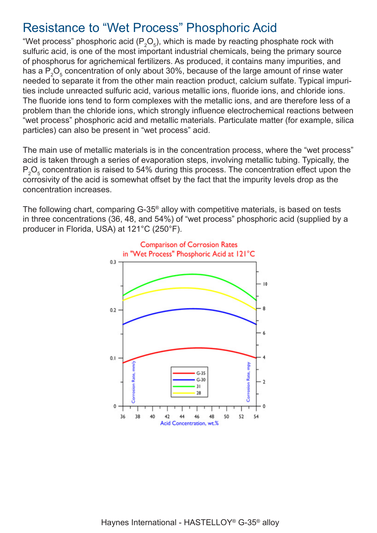### Resistance to "Wet Process" Phosphoric Acid

"Wet process" phosphoric acid (P $_{\rm 2}$ O $_{\rm 5}$ ), which is made by reacting phosphate rock with sulfuric acid, is one of the most important industrial chemicals, being the primary source of phosphorus for agrichemical fertilizers. As produced, it contains many impurities, and has a  $\mathsf{P}_2\mathsf{O}_5$  concentration of only about 30%, because of the large amount of rinse water needed to separate it from the other main reaction product, calcium sulfate. Typical impurities include unreacted sulfuric acid, various metallic ions, fluoride ions, and chloride ions. The fluoride ions tend to form complexes with the metallic ions, and are therefore less of a problem than the chloride ions, which strongly influence electrochemical reactions between "wet process" phosphoric acid and metallic materials. Particulate matter (for example, silica particles) can also be present in "wet process" acid.

The main use of metallic materials is in the concentration process, where the "wet process" acid is taken through a series of evaporation steps, involving metallic tubing. Typically, the  $\mathsf{P}_\mathsf{2}\mathsf{O}_\mathsf{5}$  concentration is raised to 54% during this process. The concentration effect upon the corrosivity of the acid is somewhat offset by the fact that the impurity levels drop as the concentration increases.

The following chart, comparing G-35® alloy with competitive materials, is based on tests in three concentrations (36, 48, and 54%) of "wet process" phosphoric acid (supplied by a producer in Florida, USA) at 121°C (250°F).

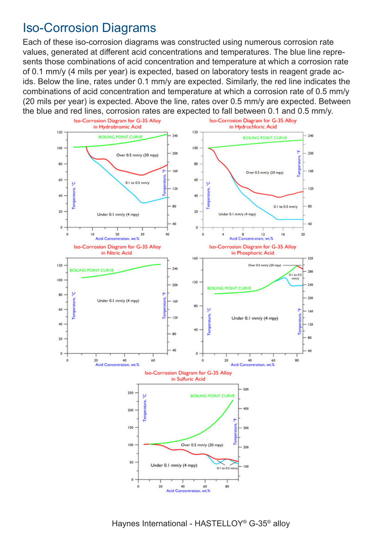### Iso-Corrosion Diagrams

Each of these iso-corrosion diagrams was constructed using numerous corrosion rate values, generated at different acid concentrations and temperatures. The blue line represents those combinations of acid concentration and temperature at which a corrosion rate of 0.1 mm/y (4 mils per year) is expected, based on laboratory tests in reagent grade acids. Below the line, rates under 0.1 mm/y are expected. Similarly, the red line indicates the combinations of acid concentration and temperature at which a corrosion rate of 0.5 mm/y (20 mils per year) is expected. Above the line, rates over 0.5 mm/y are expected. Between the blue and red lines, corrosion rates are expected to fall between 0.1 and 0.5 mm/y.



Haynes International - HASTELLOY® G-35® alloy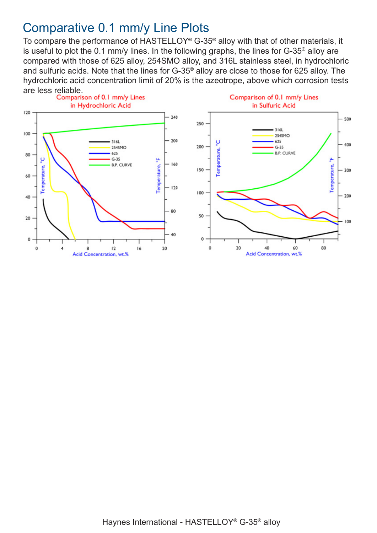### Comparative 0.1 mm/y Line Plots

To compare the performance of HASTELLOY® G-35® alloy with that of other materials, it is useful to plot the 0.1 mm/y lines. In the following graphs, the lines for G-35® alloy are compared with those of 625 alloy, 254SMO alloy, and 316L stainless steel, in hydrochloric and sulfuric acids. Note that the lines for G-35® alloy are close to those for 625 alloy. The hydrochloric acid concentration limit of 20% is the azeotrope, above which corrosion tests are less reliable.<br>Comparison of 0.1 mm/y Lines

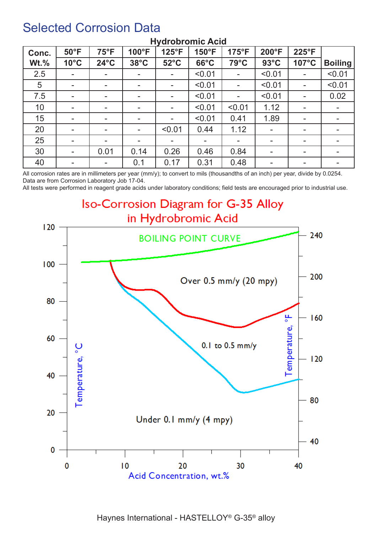### Selected Corrosion Data

| Conc.   | $50^{\circ}$ F           | $75^{\circ}F$            | 100°F                    | 125°F                    | 150°F          | $175^{\circ}F$           | 200°F          | 225°F                    |                          |
|---------|--------------------------|--------------------------|--------------------------|--------------------------|----------------|--------------------------|----------------|--------------------------|--------------------------|
| $Wt.\%$ | $10^{\circ}$ C           | $24^{\circ}$ C           | $38^{\circ}$ C           | $52^{\circ}$ C           | $66^{\circ}$ C | 79°C                     | $93^{\circ}$ C | $107^{\circ}$ C          | <b>Boiling</b>           |
| 2.5     | $\overline{\phantom{a}}$ | $\overline{\phantom{a}}$ | н.                       | $\mathbf{r}$             | < 0.01         | $\blacksquare$           | < 0.01         | $\overline{\phantom{a}}$ | < 0.01                   |
| 5       | $\overline{\phantom{a}}$ | ۰.                       | ۰.                       |                          | < 0.01         | $\blacksquare$           | < 0.01         | -                        | < 0.01                   |
| 7.5     | $\blacksquare$           | ۰.                       | $\overline{\phantom{a}}$ | $\overline{\phantom{a}}$ | < 0.01         | $\overline{\phantom{a}}$ | < 0.01         | $\sim$                   | 0.02                     |
| 10      | $\blacksquare$           | ۰.                       |                          |                          | < 0.01         | < 0.01                   | 1.12           | ۰                        |                          |
| 15      | $\overline{\phantom{a}}$ | ۰.                       | $\blacksquare$           | $\sim$                   | < 0.01         | 0.41                     | 1.89           | $\blacksquare$           |                          |
| 20      | $\blacksquare$           | ۰.                       | н.                       | < 0.01                   | 0.44           | 1.12                     |                | $\overline{\phantom{a}}$ |                          |
| 25      | $\blacksquare$           | ۰.                       | ۰.                       |                          |                | $\,$                     |                | $\overline{\phantom{a}}$ |                          |
| 30      | $\blacksquare$           | 0.01                     | 0.14                     | 0.26                     | 0.46           | 0.84                     |                | ۰                        |                          |
| 40      | $\blacksquare$           | ۰.                       | 0.1                      | 0.17                     | 0.31           | 0.48                     | -              | ۰.                       | $\overline{\phantom{a}}$ |

#### **Hydrobromic Acid**

All corrosion rates are in millimeters per year (mm/y); to convert to mils (thousandths of an inch) per year, divide by 0.0254. Data are from Corrosion Laboratory Job 17-04.

All tests were performed in reagent grade acids under laboratory conditions; field tests are encouraged prior to industrial use.

### Iso-Corrosion Diagram for G-35 Alloy in Hydrobromic Acid

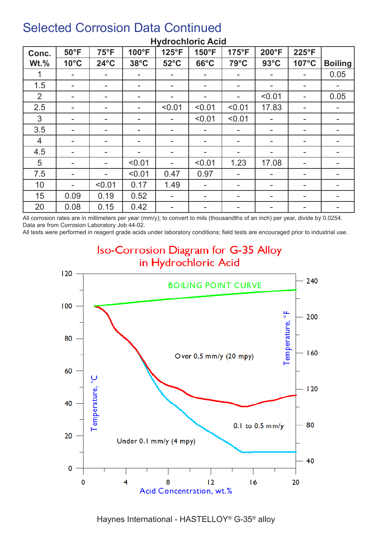| Conc.          | $50^{\circ}$ F | <b>75°F</b>              | 100°F          | 125°F          | 150°F                    | 175°F                    | 200°F          | 225°F                    |                |
|----------------|----------------|--------------------------|----------------|----------------|--------------------------|--------------------------|----------------|--------------------------|----------------|
| $Wt.\%$        | $10^{\circ}$ C | $24^{\circ}$ C           | $38^{\circ}$ C | $52^{\circ}$ C | $66^{\circ}$ C           | 79°C                     | $93^{\circ}$ C | 107°C                    | <b>Boiling</b> |
|                |                |                          | ۰              |                |                          | $\blacksquare$           |                |                          | 0.05           |
| 1.5            | ۰              | ۰                        | ۰.             |                | $\overline{\phantom{a}}$ | $\blacksquare$           |                | $\overline{\phantom{a}}$ |                |
| 2              |                |                          | -              |                |                          |                          | < 0.01         |                          | 0.05           |
| 2.5            | ۰              |                          |                | < 0.01         | < 0.01                   | < 0.01                   | 17.83          | $\overline{\phantom{a}}$ |                |
| 3              | Ξ.             |                          | -              |                | < 0.01                   | < 0.01                   |                | $\blacksquare$           |                |
| 3.5            |                | $\overline{\phantom{a}}$ |                |                |                          |                          |                | $\overline{\phantom{a}}$ |                |
| $\overline{4}$ | ۰.             | $\overline{\phantom{a}}$ | -              |                | ۰                        | $\blacksquare$           |                | $\overline{\phantom{a}}$ |                |
| 4.5            | -              | $\overline{\phantom{a}}$ |                |                | $\overline{\phantom{a}}$ | $\blacksquare$           |                | $\overline{\phantom{a}}$ |                |
| 5              | Ξ.             | ۰.                       | < 0.01         |                | < 0.01                   | 1.23                     | 17.08          | ۰                        |                |
| 7.5            | -              |                          | < 0.01         | 0.47           | 0.97                     | $\blacksquare$           | ۰.             | ۰                        |                |
| 10             |                | < 0.01                   | 0.17           | 1.49           | ۰                        | $\overline{\phantom{a}}$ | ۰.             | $\overline{\phantom{a}}$ |                |
| 15             | 0.09           | 0.19                     | 0.52           |                | $\overline{\phantom{a}}$ | $\blacksquare$           |                | -                        |                |
| 20             | 0.08           | 0.15                     | 0.42           |                | ۰.                       |                          |                | -                        |                |

#### **Hydrochloric Acid**

All corrosion rates are in millimeters per year (mm/y); to convert to mils (thousandths of an inch) per year, divide by 0.0254. Data are from Corrosion Laboratory Job 44-02.

All tests were performed in reagent grade acids under laboratory conditions; field tests are encouraged prior to industrial use.



**Iso-Corrosion Diagram for G-35 Alloy** 

Haynes International - HASTELLOY® G-35® alloy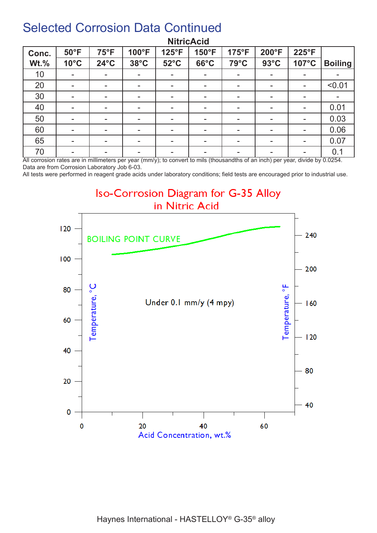| Conc.       | $50^{\circ}$ F | $75^{\circ}F$            | 100°F          | 125°F                    | 150°F                    | 175°F          | 200°F          | 225°F                    |                |
|-------------|----------------|--------------------------|----------------|--------------------------|--------------------------|----------------|----------------|--------------------------|----------------|
| <b>Wt.%</b> | $10^{\circ}$ C | $24^{\circ}$ C           | $38^{\circ}$ C | $52^{\circ}$ C           | $66^{\circ}$ C           | 79°C           | $93^{\circ}$ C | 107°C                    | <b>Boiling</b> |
| 10          | ۰.             | $\overline{\phantom{a}}$ | ۰.             |                          | н.                       | $\,$           |                | $\overline{\phantom{a}}$ |                |
| 20          | ۰              | $\overline{\phantom{a}}$ | ۰              | $\overline{\phantom{a}}$ | н.                       | $\blacksquare$ |                | ۰                        | < 0.01         |
| 30          | ۰              | $\overline{\phantom{a}}$ |                |                          | $\overline{\phantom{a}}$ | $\blacksquare$ |                | $\overline{\phantom{a}}$ |                |
| 40          | ۰              | ۰                        |                |                          | -                        | $\blacksquare$ |                | $\overline{\phantom{a}}$ | 0.01           |
| 50          | ۰              | $\overline{\phantom{a}}$ | -              |                          | $\overline{\phantom{a}}$ | $\blacksquare$ |                | $\overline{\phantom{a}}$ | 0.03           |
| 60          | ۰              | $\overline{\phantom{a}}$ |                |                          | $\overline{\phantom{a}}$ | $\blacksquare$ |                | $\overline{\phantom{a}}$ | 0.06           |
| 65          | $\blacksquare$ | -                        |                |                          | $\overline{\phantom{a}}$ | $\blacksquare$ |                | $\overline{\phantom{a}}$ | 0.07           |
| 70          | ۰              | -                        | -              |                          | -                        | $\blacksquare$ |                | $\overline{\phantom{a}}$ | 0.1            |

#### **NitricAcid**

All corrosion rates are in millimeters per year (mm/y); to convert to mils (thousandths of an inch) per year, divide by 0.0254. Data are from Corrosion Laboratory Job 6-03.

All tests were performed in reagent grade acids under laboratory conditions; field tests are encouraged prior to industrial use.

### **Iso-Corrosion Diagram for G-35 Alloy** in Nitric Acid

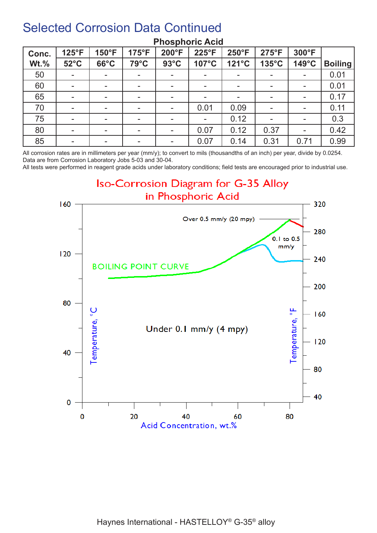| Conc.   | 125°F          | 150°F                    | 175°F                    | 200°F                    | 225°F                    | 250°F          | $275^{\circ}F$ | 300°F                    |                |
|---------|----------------|--------------------------|--------------------------|--------------------------|--------------------------|----------------|----------------|--------------------------|----------------|
| $Wt.\%$ | $52^{\circ}$ C | $66^{\circ}$ C           | 79°C                     | $93^{\circ}$ C           | 107°C                    | 121°C          | 135°C          | $149^{\circ}$ C          | <b>Boiling</b> |
| 50      | $\blacksquare$ | $\overline{\phantom{0}}$ |                          | $\blacksquare$           | $\overline{\phantom{a}}$ | $\,$           |                | $\sim$                   | 0.01           |
| 60      | $\blacksquare$ | $\overline{\phantom{a}}$ | $\overline{\phantom{a}}$ |                          | $\overline{\phantom{a}}$ | $\blacksquare$ |                | $\overline{\phantom{a}}$ | 0.01           |
| 65      | ۰              | $\overline{\phantom{a}}$ |                          |                          |                          | $\blacksquare$ |                | $\overline{\phantom{a}}$ | 0.17           |
| 70      | $\blacksquare$ | $\overline{\phantom{a}}$ | $\overline{\phantom{a}}$ |                          | 0.01                     | 0.09           |                | $\overline{\phantom{a}}$ | 0.11           |
| 75      | $\sim$         | $\overline{\phantom{a}}$ | $\overline{\phantom{a}}$ |                          | $\overline{\phantom{a}}$ | 0.12           |                | ۰                        | 0.3            |
| 80      | $\sim$         | $\overline{\phantom{a}}$ |                          |                          | 0.07                     | 0.12           | 0.37           | $\blacksquare$           | 0.42           |
| 85      | $\blacksquare$ | $\overline{\phantom{a}}$ | $\overline{\phantom{a}}$ | $\overline{\phantom{a}}$ | 0.07                     | 0.14           | 0.31           | 0.71                     | 0.99           |

#### **Phosphoric Acid**

All corrosion rates are in millimeters per year (mm/y); to convert to mils (thousandths of an inch) per year, divide by 0.0254. Data are from Corrosion Laboratory Jobs 5-03 and 30-04.

All tests were performed in reagent grade acids under laboratory conditions; field tests are encouraged prior to industrial use.

Iso-Corrosion Diagram for G-35 Alloy in Phosphoric Acid

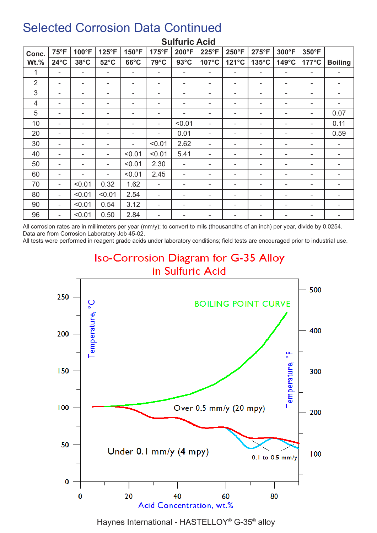| Conc.          | $75^{\circ}F$            | 100°F          | 125°F          | 150°F          | 175°F                    | 200°F          | 225°F | 250°F | 275°F           | 300°F                    | 350°F                    |                          |
|----------------|--------------------------|----------------|----------------|----------------|--------------------------|----------------|-------|-------|-----------------|--------------------------|--------------------------|--------------------------|
| $Wt.\%$        | $24^{\circ}$ C           | $38^{\circ}$ C | $52^{\circ}$ C | $66^{\circ}$ C | 79°C                     | $93^{\circ}$ C | 107°C | 121°C | $135^{\circ}$ C | $149^{\circ}$ C          | $177^{\circ}$ C          | <b>Boiling</b>           |
| 1              | ۰                        |                | ۰              | ۰              | $\sim$                   | ۰              | ۰     | ٠     | ٠               | ۰                        | $\overline{\phantom{a}}$ |                          |
| 2              | ۰                        |                | ۰              | ۰              | ۰                        | ۰              | ۰     |       | ۰               | ۰                        | ۰                        | ۰                        |
| 3              | ۰                        |                | ۰              | ۰              | ۰                        | ۰              | ۰     | ۰     | ۰               | ۰                        | ۰                        | ۰                        |
| $\overline{4}$ | ۰                        |                |                | ۰              |                          | ۰              | ۰     |       |                 |                          | ۰                        |                          |
| 5              | $\blacksquare$           |                | ۰              |                |                          | ۰              | ٠     |       |                 | ۰                        | ۰                        | 0.07                     |
| 10             | ۰                        |                | ۰              | ۰              |                          | < 0.01         | ۰     |       |                 | ۰                        | ۰                        | 0.11                     |
| 20             | ۰                        |                |                | ۰              |                          | 0.01           |       |       |                 |                          | ۰                        | 0.59                     |
| 30             | ۰                        |                | ۰              | ۰              | < 0.01                   | 2.62           | ۰     |       | ۰               | ۰                        | ۰                        | $\overline{\phantom{a}}$ |
| 40             | ۰                        |                | ۰              | < 0.01         | < 0.01                   | 5.41           | ۰     |       | -               | ۰                        | ۰                        | ۰                        |
| 50             | ۰                        |                | ۰              | < 0.01         | 2.30                     | ٠              | ۰     |       |                 |                          | ۰                        |                          |
| 60             | ۰                        |                | ۰              | < 0.01         | 2.45                     | ۰              | ۰     |       |                 | $\overline{\phantom{a}}$ |                          |                          |
| 70             | $\overline{\phantom{a}}$ | < 0.01         | 0.32           | 1.62           | $\blacksquare$           | ۰              | ۰     |       | ٠               | $\overline{\phantom{a}}$ | ۰                        |                          |
| 80             | ۰                        | < 0.01         | < 0.01         | 2.54           | $\sim$                   | ۰              | ۰     |       |                 |                          | ۰                        |                          |
| 90             | ۰                        | < 0.01         | 0.54           | 3.12           | $\overline{\phantom{a}}$ | ۰              | ۰     |       |                 |                          | ۰                        |                          |
| 96             | ۰                        | < 0.01         | 0.50           | 2.84           | ۰                        | -              |       |       |                 | ۰                        | ۰                        |                          |

#### **Sulfuric Acid**

All corrosion rates are in millimeters per year (mm/y); to convert to mils (thousandths of an inch) per year, divide by 0.0254. Data are from Corrosion Laboratory Job 45-02.

All tests were performed in reagent grade acids under laboratory conditions; field tests are encouraged prior to industrial use.

### **Iso-Corrosion Diagram for G-35 Alloy** in Sulfuric Acid



Haynes International - HASTELLOY® G-35® alloy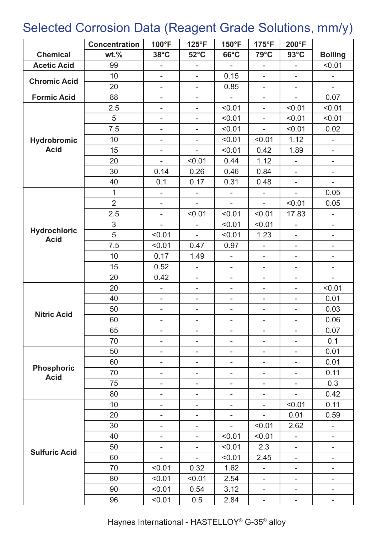# Selected Corrosion Data (Reagent Grade Solutions, mm/y)

|                                    | <b>Concentration</b> | 100°F                    | 125°F                    | 150°F                    | 175°F                    | 200°F                    |                              |
|------------------------------------|----------------------|--------------------------|--------------------------|--------------------------|--------------------------|--------------------------|------------------------------|
| <b>Chemical</b>                    | $wt.$ %              | $38^{\circ}$ C           | $52^{\circ}$ C           | $66^{\circ}$ C           | 79°C                     | $93^{\circ}$ C           | <b>Boiling</b>               |
| <b>Acetic Acid</b>                 | 99                   | $\blacksquare$           | $\overline{\phantom{0}}$ | $\overline{\phantom{a}}$ | $\overline{\phantom{0}}$ | $\overline{\phantom{a}}$ | < 0.01                       |
| <b>Chromic Acid</b>                | 10                   | $\overline{\phantom{a}}$ | $\overline{\phantom{0}}$ | 0.15                     | $\overline{\phantom{m}}$ | $\overline{\phantom{a}}$ | $\overline{\phantom{0}}$     |
|                                    | 20                   | $\overline{\phantom{0}}$ | $\overline{\phantom{0}}$ | 0.85                     | $\overline{\phantom{0}}$ | $\overline{\phantom{m}}$ |                              |
| <b>Formic Acid</b>                 | 88                   | $\overline{\phantom{a}}$ | $\overline{\phantom{0}}$ | $\overline{\phantom{a}}$ | $\overline{\phantom{0}}$ | ÷,                       | 0.07                         |
|                                    | 2.5                  | $\overline{\phantom{0}}$ | ÷,                       | < 0.01                   | L,                       | < 0.01                   | < 0.01                       |
|                                    | 5                    | $\overline{\phantom{a}}$ | L,                       | < 0.01                   | ä,                       | < 0.01                   | < 0.01                       |
|                                    | 7.5                  | $\overline{\phantom{a}}$ | ÷,                       | < 0.01                   | ÷,                       | < 0.01                   | 0.02                         |
| <b>Hydrobromic</b>                 | 10                   | $\overline{\phantom{0}}$ | L,                       | < 0.01                   | < 0.01                   | 1.12                     |                              |
| <b>Acid</b>                        | 15                   | $\overline{\phantom{a}}$ | L,                       | < 0.01                   | 0.42                     | 1.89                     | -                            |
|                                    | 20                   | $\blacksquare$           | < 0.01                   | 0.44                     | 1.12                     | ÷,                       | $\overline{\phantom{0}}$     |
|                                    | 30                   | 0.14                     | 0.26                     | 0.46                     | 0.84                     | $\overline{\phantom{a}}$ | $\overline{\phantom{0}}$     |
|                                    | 40                   | 0.1                      | 0.17                     | 0.31                     | 0.48                     | ۰                        | -                            |
|                                    | $\overline{1}$       | $\overline{\phantom{a}}$ | $\overline{\phantom{0}}$ | L,                       | L,                       |                          | 0.05                         |
|                                    | $\overline{2}$       | ä,                       | $\overline{a}$           | $\overline{a}$           | $\overline{a}$           | < 0.01                   | 0.05                         |
|                                    | 2.5                  | $\overline{\phantom{a}}$ | < 0.01                   | < 0.01                   | < 0.01                   | 17.83                    | $\overline{\phantom{0}}$     |
|                                    | $\mathfrak{S}$       | $\overline{\phantom{a}}$ | $\overline{\phantom{a}}$ | < 0.01                   | < 0.01                   | $\overline{\phantom{m}}$ | $\qquad \qquad \blacksquare$ |
| <b>Hydrochloric</b><br><b>Acid</b> | 5                    | < 0.01                   | $\overline{a}$           | < 0.01                   | 1.23                     | $\overline{\phantom{a}}$ | -                            |
|                                    | 7.5                  | < 0.01                   | 0.47                     | 0.97                     | ÷,                       | $\overline{\phantom{a}}$ | -                            |
|                                    | 10                   | 0.17                     | 1.49                     | ÷,                       | $\overline{\phantom{0}}$ | $\overline{\phantom{0}}$ | $\overline{\phantom{0}}$     |
|                                    | 15                   | 0.52                     | $\overline{\phantom{0}}$ | $\blacksquare$           | $\overline{\phantom{0}}$ | $\overline{\phantom{a}}$ | $\overline{\phantom{0}}$     |
|                                    | 20                   | 0.42                     | $\overline{\phantom{0}}$ | $\overline{\phantom{0}}$ | ۰                        | $\overline{\phantom{a}}$ | $\overline{\phantom{0}}$     |
|                                    | 20                   | $\overline{\phantom{a}}$ | $\overline{\phantom{0}}$ | -                        | ۰                        | $\overline{\phantom{a}}$ | < 0.01                       |
|                                    | 40                   | $\overline{\phantom{a}}$ | $\overline{\phantom{0}}$ | $\overline{\phantom{0}}$ | $\overline{\phantom{a}}$ | $\overline{\phantom{a}}$ | 0.01                         |
| <b>Nitric Acid</b>                 | 50                   | $\overline{\phantom{0}}$ | $\overline{\phantom{0}}$ | $\overline{\phantom{0}}$ | -                        | $\overline{\phantom{0}}$ | 0.03                         |
|                                    | 60                   | $\overline{\phantom{a}}$ | $\overline{\phantom{a}}$ | ٠                        | ۰                        | ۰                        | 0.06                         |
|                                    | 65                   | $\overline{\phantom{0}}$ | $\overline{\phantom{0}}$ | $\overline{\phantom{0}}$ | $\overline{\phantom{m}}$ | $\overline{\phantom{a}}$ | 0.07                         |
|                                    | 70                   |                          | -                        | -                        | ۰                        |                          | 0.1                          |
|                                    | 50                   | -                        | $\overline{\phantom{0}}$ | -                        | $\overline{\phantom{a}}$ | $\overline{\phantom{m}}$ | 0.01                         |
|                                    | 60                   | -                        | $\overline{\phantom{0}}$ | $\overline{\phantom{0}}$ | $\overline{\phantom{m}}$ | $\overline{\phantom{a}}$ | 0.01                         |
| <b>Phosphoric</b><br><b>Acid</b>   | 70                   | $\overline{\phantom{0}}$ | $\overline{\phantom{0}}$ | $\overline{\phantom{0}}$ | $\overline{\phantom{a}}$ | $\overline{\phantom{a}}$ | 0.11                         |
|                                    | 75                   | $\overline{\phantom{a}}$ | $\overline{\phantom{0}}$ | -                        | ۰                        | $\overline{\phantom{a}}$ | 0.3                          |
|                                    | 80                   | Ξ.                       | $\overline{\phantom{0}}$ | ÷,                       | $\overline{\phantom{0}}$ |                          | 0.42                         |
|                                    | 10                   | $\overline{\phantom{0}}$ | $\overline{\phantom{0}}$ | $\overline{\phantom{0}}$ | ÷,                       | < 0.01                   | 0.11                         |
|                                    | 20                   | -                        | -                        | -                        | $\blacksquare$           | 0.01                     | 0.59                         |
|                                    | 30                   | $\overline{\phantom{a}}$ | $\overline{\phantom{0}}$ | $\overline{\phantom{0}}$ | < 0.01                   | 2.62                     | -                            |
|                                    | 40                   | -                        | $\overline{\phantom{0}}$ | < 0.01                   | < 0.01                   | $\overline{\phantom{0}}$ | -                            |
| <b>Sulfuric Acid</b>               | 50                   | Ξ.                       | $\overline{\phantom{0}}$ | < 0.01                   | 2.3                      | $\overline{\phantom{a}}$ | -                            |
|                                    | 60                   | L,                       | $\overline{\phantom{0}}$ | < 0.01                   | 2.45                     | ä,                       | -                            |
|                                    | 70                   | < 0.01                   | 0.32                     | 1.62                     | $\overline{\phantom{0}}$ | $\overline{\phantom{a}}$ | -                            |
|                                    | 80                   | < 0.01                   | < 0.01                   | 2.54                     | $\overline{\phantom{0}}$ | ۰                        | $\overline{\phantom{0}}$     |
|                                    | 90                   | < 0.01                   | 0.54                     | 3.12                     | ۰                        |                          | -                            |
|                                    | 96                   | < 0.01                   | 0.5                      | 2.84                     | $\overline{\phantom{0}}$ | ۰                        | -                            |

Haynes International - HASTELLOY® G-35® alloy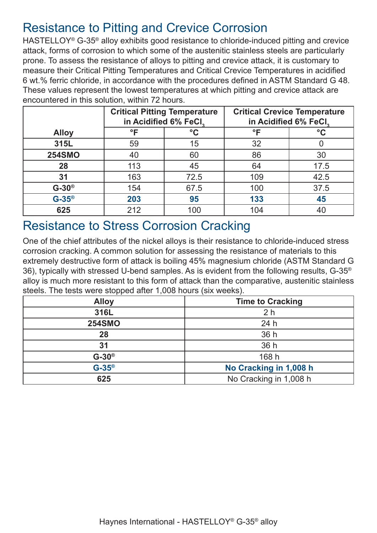### Resistance to Pitting and Crevice Corrosion

HASTELLOY® G-35® alloy exhibits good resistance to chloride-induced pitting and crevice attack, forms of corrosion to which some of the austenitic stainless steels are particularly prone. To assess the resistance of alloys to pitting and crevice attack, it is customary to measure their Critical Pitting Temperatures and Critical Crevice Temperatures in acidified 6 wt.% ferric chloride, in accordance with the procedures defined in ASTM Standard G 48. These values represent the lowest temperatures at which pitting and crevice attack are encountered in this solution, within 72 hours.

|               |                                 | <b>Critical Pitting Temperature</b><br>in Acidified 6% FeCl. | <b>Critical Crevice Temperature</b><br>in Acidified 6% FeCl. |                 |  |
|---------------|---------------------------------|--------------------------------------------------------------|--------------------------------------------------------------|-----------------|--|
| <b>Alloy</b>  | $^{\circ}$ F<br>$\rm ^{\circ}C$ |                                                              | °F                                                           | $\rm ^{\circ}C$ |  |
| 315L          | 59                              | 15                                                           | 32                                                           |                 |  |
| <b>254SMO</b> | 40                              | 60                                                           | 86                                                           | 30              |  |
| 28            | 113                             | 45                                                           | 64                                                           | 17.5            |  |
| 31            | 163                             | 72.5                                                         | 109                                                          | 42.5            |  |
| $G-30^\circ$  | 154                             | 67.5                                                         | 100                                                          | 37.5            |  |
| $G-35^\circ$  | 203                             | 95                                                           | 133                                                          | 45              |  |
| 625           | 212                             | 100                                                          | 104                                                          |                 |  |

### Resistance to Stress Corrosion Cracking

One of the chief attributes of the nickel alloys is their resistance to chloride-induced stress corrosion cracking. A common solution for assessing the resistance of materials to this extremely destructive form of attack is boiling 45% magnesium chloride (ASTM Standard G 36), typically with stressed U-bend samples. As is evident from the following results, G-35® alloy is much more resistant to this form of attack than the comparative, austenitic stainless steels. The tests were stopped after 1,008 hours (six weeks).

| <b>Alloy</b>  | <b>Time to Cracking</b> |
|---------------|-------------------------|
| 316L          | 2 <sub>h</sub>          |
| <b>254SMO</b> | 24 h                    |
| 28            | 36 h                    |
| 31            | 36 h                    |
| $G-30^\circ$  | 168 h                   |
| $G-35^\circ$  | No Cracking in 1,008 h  |
| 625           | No Cracking in 1,008 h  |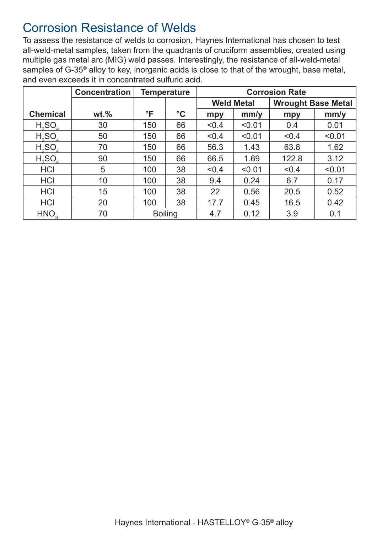### Corrosion Resistance of Welds

To assess the resistance of welds to corrosion, Haynes International has chosen to test all-weld-metal samples, taken from the quadrants of cruciform assemblies, created using multiple gas metal arc (MIG) weld passes. Interestingly, the resistance of all-weld-metal samples of G-35® alloy to key, inorganic acids is close to that of the wrought, base metal, and even exceeds it in concentrated sulfuric acid.

|                                | <b>Concentration</b> |              | <b>Temperature</b> | <b>Corrosion Rate</b> |        |                           |        |
|--------------------------------|----------------------|--------------|--------------------|-----------------------|--------|---------------------------|--------|
|                                |                      |              |                    | <b>Weld Metal</b>     |        | <b>Wrought Base Metal</b> |        |
| <b>Chemical</b>                | $wt.$ %              | $\mathsf{P}$ | $\rm ^{\circ}C$    | mpy                   | mm/y   | mpy                       | mm/y   |
| H <sub>2</sub> SO <sub>4</sub> | 30                   | 150          | 66                 | < 0.4                 | < 0.01 | 0.4                       | 0.01   |
| $H_2SO_4$                      | 50                   | 150          | 66                 | < 0.4                 | < 0.01 | < 0.4                     | < 0.01 |
| H <sub>2</sub> SO <sub>4</sub> | 70                   | 150          | 66                 | 56.3                  | 1.43   | 63.8                      | 1.62   |
| $H_2SO_4$                      | 90                   | 150          | 66                 | 66.5                  | 1.69   | 122.8                     | 3.12   |
| <b>HCI</b>                     | 5                    | 100          | 38                 | < 0.4                 | < 0.01 | < 0.4                     | < 0.01 |
| <b>HCI</b>                     | 10                   | 100          | 38                 | 9.4                   | 0.24   | 6.7                       | 0.17   |
| <b>HCI</b>                     | 15                   | 100          | 38                 | 22                    | 0.56   | 20.5                      | 0.52   |
| <b>HCI</b>                     | 20                   | 100          | 38                 | 17.7                  | 0.45   | 16.5                      | 0.42   |
| HNO <sub>2</sub>               | 70                   |              | <b>Boiling</b>     | 4.7                   | 0.12   | 3.9                       | 0.1    |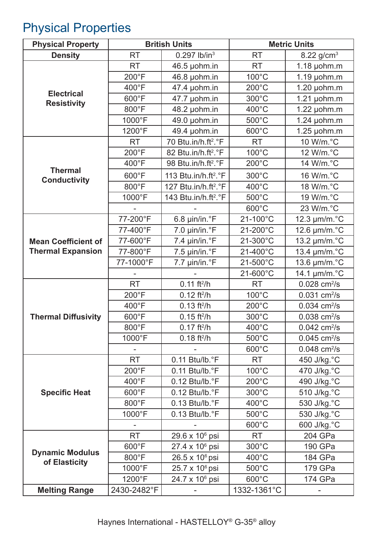# Physical Properties

| <b>Physical Property</b>                |                 | <b>British Units</b>             |                 | <b>Metric Units</b>        |
|-----------------------------------------|-----------------|----------------------------------|-----------------|----------------------------|
| <b>Density</b>                          | <b>RT</b>       | $0.297$ lb/in <sup>3</sup>       | <b>RT</b>       | 8.22 $g/cm^{3}$            |
|                                         | <b>RT</b>       | 46.5 µohm.in                     | <b>RT</b>       | $1.18$ µohm.m              |
|                                         | $200^{\circ}F$  | 46.8 µohm.in                     | 100°C           | $1.19$ µohm.m              |
|                                         | 400°F           | 47.4 µohm.in                     | $200^{\circ}$ C | $1.20$ µohm.m              |
| <b>Electrical</b><br><b>Resistivity</b> | 600°F           | 47.7 µohm.in                     | 300°C           | $1.21$ µohm.m              |
|                                         | 800°F           | 48.2 µohm.in                     | 400°C           | $1.22$ µohm.m              |
|                                         | 1000°F          | 49.0 µohm.in                     | 500°C           | $1.24$ µohm.m              |
|                                         | 1200°F          | 49.4 µohm.in                     | 600°C           | $1.25$ µohm.m              |
|                                         | <b>RT</b>       | 70 Btu.in/h.ft <sup>2</sup> .°F  | <b>RT</b>       | 10 W/m.°C                  |
|                                         | $200^{\circ}$ F | 82 Btu.in/h.ft <sup>2</sup> .°F  | 100°C           | 12 W/m.°C                  |
|                                         | 400°F           | 98 Btu.in/h.ft <sup>2</sup> .°F  | 200°C           | 14 W/m.°C                  |
| <b>Thermal</b>                          | 600°F           | 113 Btu.in/h.ft <sup>2</sup> .°F | 300°C           | 16 W/m.°C                  |
| <b>Conductivity</b>                     | 800°F           | 127 Btu.in/h.ft <sup>2</sup> .°F | $400^{\circ}$ C | 18 W/m.°C                  |
|                                         | 1000°F          | 143 Btu.in/h.ft <sup>2</sup> .°F | 500°C           | 19 W/m.°C                  |
|                                         |                 |                                  | 600°C           | 23 W/m.°C                  |
|                                         | 77-200°F        | 6.8 µin/in.°F                    | 21-100°C        | 12.3 µm/m.°C               |
|                                         | 77-400°F        | $7.0 \mu$ in/in. $\degree$ F     | 21-200°C        | 12.6 µm/m.°C               |
| <b>Mean Coefficient of</b>              | 77-600°F        | 7.4 µin/in.°F                    | 21-300°C        | 13.2 µm/m.°C               |
| <b>Thermal Expansion</b>                | 77-800°F        | 7.5 µin/in.°F                    | 21-400°C        | 13.4 µm/m.°C               |
|                                         | 77-1000°F       | 7.7 µin/in.°F                    | 21-500°C        | 13.6 µm/m.°C               |
|                                         |                 |                                  | 21-600°C        | 14.1 µm/m.°C               |
|                                         | <b>RT</b>       | $0.11$ ft <sup>2</sup> /h        | <b>RT</b>       | $0.028$ cm <sup>2</sup> /s |
|                                         | $200^{\circ}F$  | $0.12$ ft <sup>2</sup> /h        | $100^{\circ}$ C | $0.031$ cm <sup>2</sup> /s |
|                                         | 400°F           | $0.13$ ft <sup>2</sup> /h        | $200^{\circ}$ C | $0.034$ cm <sup>2</sup> /s |
| <b>Thermal Diffusivity</b>              | 600°F           | $0.15$ ft <sup>2</sup> /h        | 300°C           | $0.038$ cm <sup>2</sup> /s |
|                                         | 800°F           | $0.17$ ft <sup>2</sup> /h        | $400^{\circ}$ C | $0.042$ cm <sup>2</sup> /s |
|                                         | 1000°F          | $0.18 \text{ ft}^2/h$            | 500°C           | $0.045$ cm <sup>2</sup> /s |
|                                         |                 |                                  | 600°C           | $0.048$ cm <sup>2</sup> /s |
|                                         | <b>RT</b>       | 0.11 Btu/lb.°F                   | <b>RT</b>       | 450 J/kg. °C               |
|                                         | $200^{\circ}$ F | 0.11 Btu/lb.°F                   | $100^{\circ}$ C | 470 J/kg.°C                |
|                                         | $400^{\circ}$ F | $0.12$ Btu/lb. $\degree$ F       | $200^{\circ}$ C | 490 J/kg.°C                |
| <b>Specific Heat</b>                    | 600°F           | 0.12 Btu/lb.°F                   | $300^{\circ}$ C | 510 J/kg.°C                |
|                                         | 800°F           | $0.13$ Btu/lb. $\degree$ F       | $400^{\circ}$ C | 530 J/kg.°C                |
|                                         | 1000°F          | 0.13 Btu/lb.°F                   | 500°C           | 530 J/kg.°C                |
|                                         |                 |                                  | 600°C           | 600 J/kg.°C                |
|                                         | <b>RT</b>       | 29.6 x 10 <sup>6</sup> psi       | <b>RT</b>       | 204 GPa                    |
|                                         | 600°F           | 27.4 x 10 <sup>6</sup> psi       | 300°C           | 190 GPa                    |
| <b>Dynamic Modulus</b><br>of Elasticity | 800°F           | $26.5 \times 10^6$ psi           | 400°C           | 184 GPa                    |
|                                         | 1000°F          | $25.7 \times 10^6$ psi           | $500^{\circ}$ C | 179 GPa                    |
|                                         | 1200°F          | 24.7 x 10 <sup>6</sup> psi       | $600^{\circ}$ C | 174 GPa                    |
| <b>Melting Range</b>                    | 2430-2482°F     |                                  | 1332-1361°C     |                            |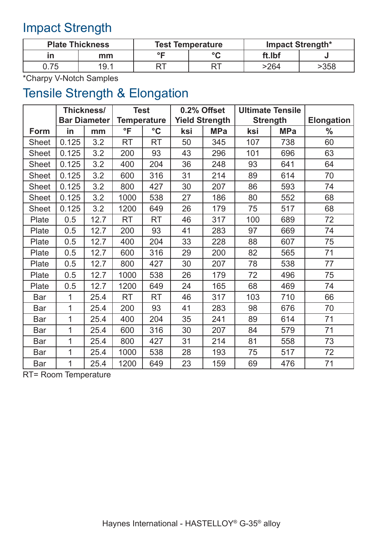# Impact Strength

| <b>Plate Thickness</b> |      |                        | <b>Test Temperature</b> | Impact Strength* |      |  |
|------------------------|------|------------------------|-------------------------|------------------|------|--|
|                        | mm   | $\circ$ $\blacksquare$ | $\sim$                  | ft.Ibf           |      |  |
| 75                     | 19.1 |                        |                         | >264             | -358 |  |

\*Charpy V-Notch Samples

# Tensile Strength & Elongation

|              | Thickness/          |      | <b>Test</b>        |                 | 0.2% Offset           |            | <b>Ultimate Tensile</b> |            |                   |
|--------------|---------------------|------|--------------------|-----------------|-----------------------|------------|-------------------------|------------|-------------------|
|              | <b>Bar Diameter</b> |      | <b>Temperature</b> |                 | <b>Yield Strength</b> |            | <b>Strength</b>         |            | <b>Elongation</b> |
| <b>Form</b>  | in                  | mm   | °F                 | $\rm ^{\circ}C$ | ksi                   | <b>MPa</b> | ksi                     | <b>MPa</b> | $\frac{0}{0}$     |
| <b>Sheet</b> | 0.125               | 3.2  | <b>RT</b>          | <b>RT</b>       | 50                    | 345        | 107                     | 738        | 60                |
| <b>Sheet</b> | 0.125               | 3.2  | 200                | 93              | 43                    | 296        | 101                     | 696        | 63                |
| <b>Sheet</b> | 0.125               | 3.2  | 400                | 204             | 36                    | 248        | 93                      | 641        | 64                |
| <b>Sheet</b> | 0.125               | 3.2  | 600                | 316             | 31                    | 214        | 89                      | 614        | 70                |
| <b>Sheet</b> | 0.125               | 3.2  | 800                | 427             | 30                    | 207        | 86                      | 593        | 74                |
| <b>Sheet</b> | 0.125               | 3.2  | 1000               | 538             | 27                    | 186        | 80                      | 552        | 68                |
| <b>Sheet</b> | 0.125               | 3.2  | 1200               | 649             | 26                    | 179        | 75                      | 517        | 68                |
| Plate        | 0.5                 | 12.7 | RT                 | <b>RT</b>       | 46                    | 317        | 100                     | 689        | 72                |
| Plate        | 0.5                 | 12.7 | 200                | 93              | 41                    | 283        | 97                      | 669        | 74                |
| Plate        | 0.5                 | 12.7 | 400                | 204             | 33                    | 228        | 88                      | 607        | 75                |
| Plate        | 0.5                 | 12.7 | 600                | 316             | 29                    | 200        | 82                      | 565        | 71                |
| Plate        | 0.5                 | 12.7 | 800                | 427             | 30                    | 207        | 78                      | 538        | 77                |
| Plate        | 0.5                 | 12.7 | 1000               | 538             | 26                    | 179        | 72                      | 496        | 75                |
| Plate        | 0.5                 | 12.7 | 1200               | 649             | 24                    | 165        | 68                      | 469        | 74                |
| <b>Bar</b>   | 1                   | 25.4 | <b>RT</b>          | <b>RT</b>       | 46                    | 317        | 103                     | 710        | 66                |
| <b>Bar</b>   | 1                   | 25.4 | 200                | 93              | 41                    | 283        | 98                      | 676        | 70                |
| <b>Bar</b>   | 1                   | 25.4 | 400                | 204             | 35                    | 241        | 89                      | 614        | 71                |
| Bar          | 1                   | 25.4 | 600                | 316             | 30                    | 207        | 84                      | 579        | 71                |
| <b>Bar</b>   | 1                   | 25.4 | 800                | 427             | 31                    | 214        | 81                      | 558        | 73                |
| <b>Bar</b>   | 1                   | 25.4 | 1000               | 538             | 28                    | 193        | 75                      | 517        | 72                |
| <b>Bar</b>   | $\overline{1}$      | 25.4 | 1200               | 649             | 23                    | 159        | 69                      | 476        | 71                |

RT= Room Temperature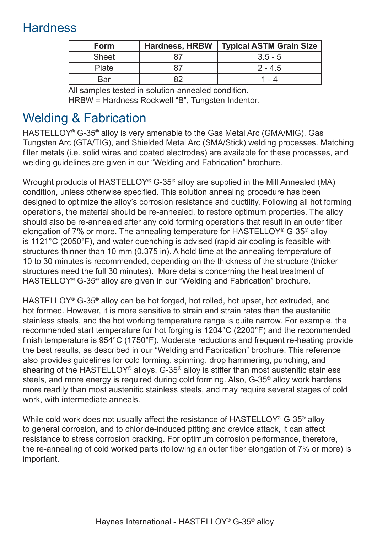# **Hardness**

| <b>Form</b>  | <b>Hardness, HRBW</b> | Typical ASTM Grain Size |
|--------------|-----------------------|-------------------------|
| <b>Sheet</b> | 87                    | $3.5 - 5$               |
| Plate        | 87                    | $2 - 4.5$               |
| Bar          |                       | l - 4                   |

All samples tested in solution-annealed condition. HRBW = Hardness Rockwell "B", Tungsten Indentor.

# Welding & Fabrication

HASTELLOY® G-35® alloy is very amenable to the Gas Metal Arc (GMA/MIG), Gas Tungsten Arc (GTA/TIG), and Shielded Metal Arc (SMA/Stick) welding processes. Matching filler metals (i.e. solid wires and coated electrodes) are available for these processes, and welding guidelines are given in our "Welding and Fabrication" brochure.

Wrought products of HASTELLOY® G-35® alloy are supplied in the Mill Annealed (MA) condition, unless otherwise specified. This solution annealing procedure has been designed to optimize the alloy's corrosion resistance and ductility. Following all hot forming operations, the material should be re-annealed, to restore optimum properties. The alloy should also be re-annealed after any cold forming operations that result in an outer fiber elongation of 7% or more. The annealing temperature for HASTELLOY® G-35® alloy is 1121°C (2050°F), and water quenching is advised (rapid air cooling is feasible with structures thinner than 10 mm (0.375 in). A hold time at the annealing temperature of 10 to 30 minutes is recommended, depending on the thickness of the structure (thicker structures need the full 30 minutes). More details concerning the heat treatment of HASTELLOY® G-35® alloy are given in our "Welding and Fabrication" brochure.

HASTELLOY® G-35® alloy can be hot forged, hot rolled, hot upset, hot extruded, and hot formed. However, it is more sensitive to strain and strain rates than the austenitic stainless steels, and the hot working temperature range is quite narrow. For example, the recommended start temperature for hot forging is 1204°C (2200°F) and the recommended finish temperature is 954°C (1750°F). Moderate reductions and frequent re-heating provide the best results, as described in our "Welding and Fabrication" brochure. This reference also provides guidelines for cold forming, spinning, drop hammering, punching, and shearing of the HASTELLOY® alloys. G-35® alloy is stiffer than most austenitic stainless steels, and more energy is required during cold forming. Also, G-35® alloy work hardens more readily than most austenitic stainless steels, and may require several stages of cold work, with intermediate anneals.

While cold work does not usually affect the resistance of HASTELLOY<sup>®</sup> G-35<sup>®</sup> alloy to general corrosion, and to chloride-induced pitting and crevice attack, it can affect resistance to stress corrosion cracking. For optimum corrosion performance, therefore, the re-annealing of cold worked parts (following an outer fiber elongation of 7% or more) is important.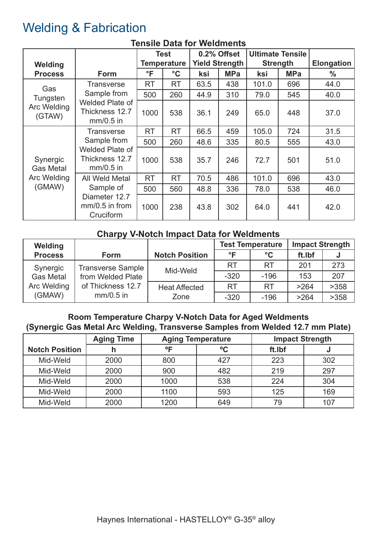# Welding & Fabrication

|                              |                                                                                                                     | <b>Test</b>  |                 | 0.2% Offset           |            | <b>Ultimate Tensile</b> |            |                   |
|------------------------------|---------------------------------------------------------------------------------------------------------------------|--------------|-----------------|-----------------------|------------|-------------------------|------------|-------------------|
| Welding                      |                                                                                                                     | Temperature  |                 | <b>Yield Strength</b> |            | <b>Strength</b>         |            | <b>Elongation</b> |
| <b>Process</b>               | <b>Form</b>                                                                                                         | $\mathsf{P}$ | $\rm ^{\circ}C$ | ksi                   | <b>MPa</b> | ksi                     | <b>MPa</b> | $\frac{0}{0}$     |
| Gas                          | <b>Transverse</b>                                                                                                   | RT           | <b>RT</b>       | 63.5                  | 438        | 101.0                   | 696        | 44.0              |
| Tungsten                     | Sample from                                                                                                         | 500          | 260             | 44.9                  | 310        | 79.0                    | 545        | 40.0              |
| Arc Welding<br>(GTAW)        | Welded Plate of<br>Thickness 12.7<br>$mm/0.5$ in                                                                    | 1000         | 538             | 36.1                  | 249        | 65.0                    | 448        | 37.0              |
|                              | <b>Transverse</b><br>Sample from<br>Welded Plate of<br>Thickness 12.7<br>$mm/0.5$ in<br>All Weld Metal<br>Sample of | RT           | <b>RT</b>       | 66.5                  | 459        | 105.0                   | 724        | 31.5              |
|                              |                                                                                                                     | 500          | 260             | 48.6                  | 335        | 80.5                    | 555        | 43.0              |
| Synergic<br><b>Gas Metal</b> |                                                                                                                     | 1000         | 538             | 35.7                  | 246        | 72.7                    | 501        | 51.0              |
| Arc Welding                  |                                                                                                                     | <b>RT</b>    | <b>RT</b>       | 70.5                  | 486        | 101.0                   | 696        | 43.0              |
| (GMAW)                       |                                                                                                                     | 500          | 560             | 48.8                  | 336        | 78.0                    | 538        | 46.0              |
|                              | Diameter 12.7<br>$mm/0.5$ in from<br>Cruciform                                                                      | 1000         | 238             | 43.8                  | 302        | 64.0                    | 441        | 42.0              |

#### **Tensile Data for Weldments**

#### **Charpy V-Notch Impact Data for Weldments**

| Welding          |                                  |                              | <b>Test Temperature</b> |                 | <b>Impact Strength</b> |      |
|------------------|----------------------------------|------------------------------|-------------------------|-----------------|------------------------|------|
| <b>Process</b>   | <b>Form</b>                      | <b>Notch Position</b>        | ∘⊏                      | $\rm ^{\circ}C$ | ft.Ibf                 |      |
| Synergic         | <b>Transverse Sample</b>         | Mid-Weld                     | <b>RT</b>               | <b>RT</b>       | 201                    | 273  |
| <b>Gas Metal</b> | from Welded Plate                |                              | $-320$                  | $-196$          | 153                    | 207  |
| Arc Welding      | of Thickness 12.7<br>$mm/0.5$ in | <b>Heat Affected</b><br>Zone | <b>RT</b>               | <b>RT</b>       | >264                   | >358 |
| (GMAW)           |                                  |                              | $-320$                  | $-196$          | >264                   | >358 |

#### **Room Temperature Charpy V-Notch Data for Aged Weldments (Synergic Gas Metal Arc Welding, Transverse Samples from Welded 12.7 mm Plate)**

|                       | <b>Aging Time</b> | <b>Aging Temperature</b> |             | <b>Impact Strength</b> |     |  |
|-----------------------|-------------------|--------------------------|-------------|------------------------|-----|--|
| <b>Notch Position</b> | h                 | $^{\circ}$               | $\rm ^{o}C$ | ft.Ibf                 |     |  |
| Mid-Weld              | 2000              | 800                      | 427         | 223                    | 302 |  |
| Mid-Weld              | 2000              | 900                      | 482         | 219                    | 297 |  |
| Mid-Weld              | 2000              | 1000                     | 538         | 224                    | 304 |  |
| Mid-Weld              | 2000              | 1100                     | 593         | 125                    | 169 |  |
| Mid-Weld              | 2000              | 1200                     | 649         | 79                     | 107 |  |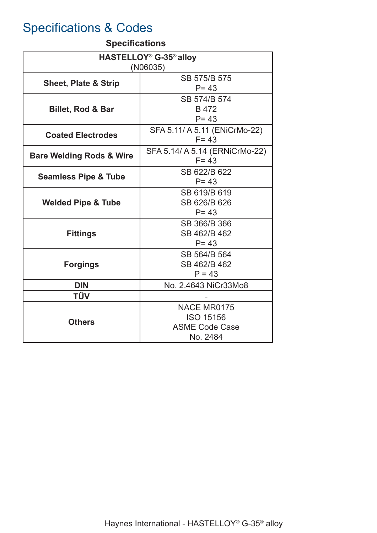# Specifications & Codes

#### **Specifications**

| HASTELLOY <sup>®</sup> G-35 <sup>®</sup> alloy<br>(NO6035) |                                                                      |  |  |  |  |
|------------------------------------------------------------|----------------------------------------------------------------------|--|--|--|--|
| <b>Sheet, Plate &amp; Strip</b>                            | SB 575/B 575<br>$P = 43$                                             |  |  |  |  |
| <b>Billet, Rod &amp; Bar</b>                               | SB 574/B 574<br>B 472<br>$P = 43$                                    |  |  |  |  |
| <b>Coated Electrodes</b>                                   | SFA 5.11/ A 5.11 (ENiCrMo-22)<br>$F = 43$                            |  |  |  |  |
| <b>Bare Welding Rods &amp; Wire</b>                        | SFA 5.14/ A 5.14 (ERNiCrMo-22)<br>$F = 43$                           |  |  |  |  |
| <b>Seamless Pipe &amp; Tube</b>                            | SB 622/B 622<br>$P = 43$                                             |  |  |  |  |
| <b>Welded Pipe &amp; Tube</b>                              | SB 619/B 619<br>SB 626/B 626<br>$P = 43$                             |  |  |  |  |
| <b>Fittings</b>                                            | SB 366/B 366<br>SB 462/B 462<br>$P = 43$                             |  |  |  |  |
| <b>Forgings</b>                                            | SB 564/B 564<br>SB 462/B 462<br>$P = 43$                             |  |  |  |  |
| <b>DIN</b>                                                 | No. 2.4643 NiCr33Mo8                                                 |  |  |  |  |
| <b>TÜV</b>                                                 |                                                                      |  |  |  |  |
| <b>Others</b>                                              | NACE MR0175<br><b>ISO 15156</b><br><b>ASME Code Case</b><br>No. 2484 |  |  |  |  |